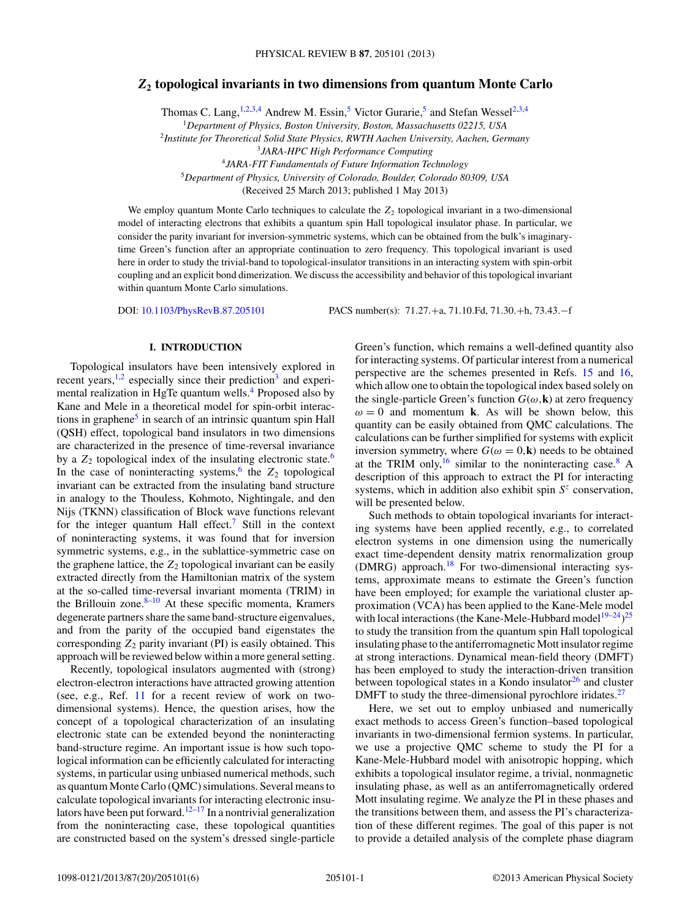# *Z***<sup>2</sup> topological invariants in two dimensions from quantum Monte Carlo**

Thomas C. Lang,  $1,2,3,4$  Andrew M. Essin,<sup>5</sup> Victor Gurarie,<sup>5</sup> and Stefan Wessel<sup>2,3,4</sup>

<sup>1</sup>*Department of Physics, Boston University, Boston, Massachusetts 02215, USA*

<sup>2</sup>*Institute for Theoretical Solid State Physics, RWTH Aachen University, Aachen, Germany*

<sup>4</sup>*JARA-FIT Fundamentals of Future Information Technology*

<sup>5</sup>*Department of Physics, University of Colorado, Boulder, Colorado 80309, USA*

(Received 25 March 2013; published 1 May 2013)

We employ quantum Monte Carlo techniques to calculate the  $Z_2$  topological invariant in a two-dimensional model of interacting electrons that exhibits a quantum spin Hall topological insulator phase. In particular, we consider the parity invariant for inversion-symmetric systems, which can be obtained from the bulk's imaginarytime Green's function after an appropriate continuation to zero frequency. This topological invariant is used here in order to study the trivial-band to topological-insulator transitions in an interacting system with spin-orbit coupling and an explicit bond dimerization. We discuss the accessibility and behavior of this topological invariant within quantum Monte Carlo simulations.

DOI: [10.1103/PhysRevB.87.205101](http://dx.doi.org/10.1103/PhysRevB.87.205101) PACS number(s): 71*.*27*.*+a, 71*.*10*.*Fd, 71*.*30*.*+h, 73*.*43*.*−f

#### **I. INTRODUCTION**

Topological insulators have been intensively explored in recent years, $1,2$  especially since their prediction<sup>3</sup> and experi-mental realization in HgTe quantum wells.<sup>[4](#page-5-0)</sup> Proposed also by Kane and Mele in a theoretical model for spin-orbit interactions in graphene<sup>5</sup> in search of an intrinsic quantum spin Hall (QSH) effect, topological band insulators in two dimensions are characterized in the presence of time-reversal invariance by a  $Z_2$  topological index of the insulating electronic state.<sup>[6](#page-5-0)</sup> In the case of noninteracting systems,<sup>[6](#page-5-0)</sup> the  $Z_2$  topological invariant can be extracted from the insulating band structure in analogy to the Thouless, Kohmoto, Nightingale, and den Nijs (TKNN) classification of Block wave functions relevant for the integer quantum Hall effect.<sup>[7](#page-5-0)</sup> Still in the context of noninteracting systems, it was found that for inversion symmetric systems, e.g., in the sublattice-symmetric case on the graphene lattice, the  $Z_2$  topological invariant can be easily extracted directly from the Hamiltonian matrix of the system at the so-called time-reversal invariant momenta (TRIM) in the Brillouin zone. $8-10$  At these specific momenta, Kramers degenerate partners share the same band-structure eigenvalues, and from the parity of the occupied band eigenstates the corresponding  $Z_2$  parity invariant (PI) is easily obtained. This approach will be reviewed below within a more general setting.

Recently, topological insulators augmented with (strong) electron-electron interactions have attracted growing attention (see, e.g., Ref. [11](#page-5-0) for a recent review of work on twodimensional systems). Hence, the question arises, how the concept of a topological characterization of an insulating electronic state can be extended beyond the noninteracting band-structure regime. An important issue is how such topological information can be efficiently calculated for interacting systems, in particular using unbiased numerical methods, such as quantum Monte Carlo (QMC) simulations. Several means to calculate topological invariants for interacting electronic insulators have been put forward.<sup>12–17</sup> In a nontrivial generalization from the noninteracting case, these topological quantities are constructed based on the system's dressed single-particle Green's function, which remains a well-defined quantity also for interacting systems. Of particular interest from a numerical perspective are the schemes presented in Refs. [15](#page-5-0) and [16,](#page-5-0) which allow one to obtain the topological index based solely on the single-particle Green's function  $G(\omega, \mathbf{k})$  at zero frequency  $\omega = 0$  and momentum **k**. As will be shown below, this quantity can be easily obtained from QMC calculations. The calculations can be further simplified for systems with explicit inversion symmetry, where  $G(\omega = 0, \mathbf{k})$  needs to be obtained at the TRIM only,  $^{16}$  $^{16}$  $^{16}$  similar to the noninteracting case.<sup>8</sup> A description of this approach to extract the PI for interacting systems, which in addition also exhibit spin *S<sup>z</sup>* conservation, will be presented below.

Such methods to obtain topological invariants for interacting systems have been applied recently, e.g., to correlated electron systems in one dimension using the numerically exact time-dependent density matrix renormalization group (DMRG) approach[.18](#page-5-0) For two-dimensional interacting systems, approximate means to estimate the Green's function have been employed; for example the variational cluster approximation (VCA) has been applied to the Kane-Mele model with local interactions (the Kane-Mele-Hubbard model<sup>19–24</sup>)<sup>[25](#page-5-0)</sup> to study the transition from the quantum spin Hall topological insulating phase to the antiferromagnetic Mott insulator regime at strong interactions. Dynamical mean-field theory (DMFT) has been employed to study the interaction-driven transition between topological states in a Kondo insulator $26$  and cluster DMFT to study the three-dimensional pyrochlore iridates.<sup>27</sup>

Here, we set out to employ unbiased and numerically exact methods to access Green's function–based topological invariants in two-dimensional fermion systems. In particular, we use a projective QMC scheme to study the PI for a Kane-Mele-Hubbard model with anisotropic hopping, which exhibits a topological insulator regime, a trivial, nonmagnetic insulating phase, as well as an antiferromagnetically ordered Mott insulating regime. We analyze the PI in these phases and the transitions between them, and assess the PI's characterization of these different regimes. The goal of this paper is not to provide a detailed analysis of the complete phase diagram

<sup>3</sup>*JARA-HPC High Performance Computing*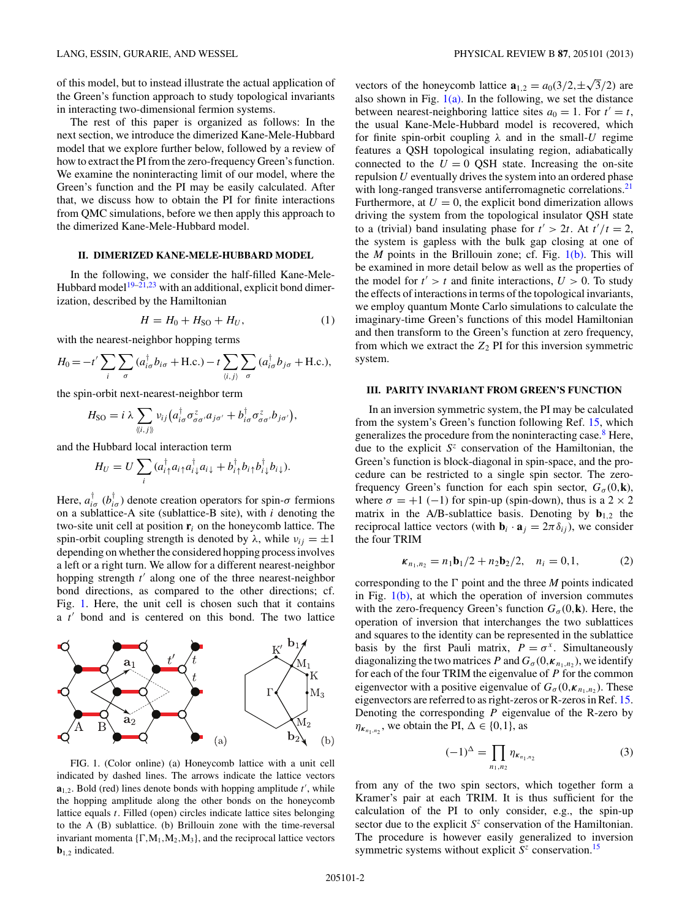<span id="page-1-0"></span>of this model, but to instead illustrate the actual application of the Green's function approach to study topological invariants in interacting two-dimensional fermion systems.

The rest of this paper is organized as follows: In the next section, we introduce the dimerized Kane-Mele-Hubbard model that we explore further below, followed by a review of how to extract the PI from the zero-frequency Green's function. We examine the noninteracting limit of our model, where the Green's function and the PI may be easily calculated. After that, we discuss how to obtain the PI for finite interactions from QMC simulations, before we then apply this approach to the dimerized Kane-Mele-Hubbard model.

#### **II. DIMERIZED KANE-MELE-HUBBARD MODEL**

In the following, we consider the half-filled Kane-Mele-Hubbard model<sup>[19–21,23](#page-5-0)</sup> with an additional, explicit bond dimerization, described by the Hamiltonian

$$
H = H_0 + H_{SO} + H_U, \t\t(1)
$$

with the nearest-neighbor hopping terms

$$
H_0 = -t' \sum_i \sum_{\sigma} (a_{i\sigma}^{\dagger} b_{i\sigma} + \text{H.c.}) - t \sum_{\langle i,j \rangle} \sum_{\sigma} (a_{i\sigma}^{\dagger} b_{j\sigma} + \text{H.c.}),
$$

the spin-orbit next-nearest-neighbor term

$$
H_{\text{SO}} = i \lambda \sum_{\langle i,j \rangle} v_{ij} \big( a_{i\sigma}^{\dagger} \sigma_{\sigma\sigma'}^{z} a_{j\sigma'} + b_{i\sigma}^{\dagger} \sigma_{\sigma\sigma'}^{z} b_{j\sigma'} \big),
$$

and the Hubbard local interaction term

$$
H_U = U \sum_i (a_{i\uparrow}^\dagger a_{i\uparrow} a_{i\downarrow}^\dagger a_{i\downarrow} + b_{i\uparrow}^\dagger b_{i\uparrow} b_{i\downarrow}^\dagger b_{i\downarrow}).
$$

Here,  $a_{i\sigma}^{\dagger}$  ( $b_{i\sigma}^{\dagger}$ ) denote creation operators for spin- $\sigma$  fermions on a sublattice-A site (sublattice-B site), with *i* denoting the two-site unit cell at position  $\mathbf{r}_i$  on the honeycomb lattice. The spin-orbit coupling strength is denoted by  $\lambda$ , while  $v_{ij} = \pm 1$ depending on whether the considered hopping process involves a left or a right turn. We allow for a different nearest-neighbor hopping strength *t'* along one of the three nearest-neighbor bond directions, as compared to the other directions; cf. Fig. 1. Here, the unit cell is chosen such that it contains a *t'* bond and is centered on this bond. The two lattice



FIG. 1. (Color online) (a) Honeycomb lattice with a unit cell indicated by dashed lines. The arrows indicate the lattice vectors  $a_{1,2}$ . Bold (red) lines denote bonds with hopping amplitude  $t'$ , while the hopping amplitude along the other bonds on the honeycomb lattice equals *t*. Filled (open) circles indicate lattice sites belonging to the A (B) sublattice. (b) Brillouin zone with the time-reversal invariant momenta  $\{\Gamma, M_1, M_2, M_3\}$ , and the reciprocal lattice vectors **b**1*,*<sup>2</sup> indicated.

vectors of the honeycomb lattice  $\mathbf{a}_{1,2} = a_0(3/2, \pm \sqrt{3}/2)$  are also shown in Fig.  $1(a)$ . In the following, we set the distance between nearest-neighboring lattice sites  $a_0 = 1$ . For  $t' = t$ , the usual Kane-Mele-Hubbard model is recovered, which for finite spin-orbit coupling  $\lambda$  and in the small-*U* regime features a QSH topological insulating region, adiabatically connected to the  $U = 0$  QSH state. Increasing the on-site repulsion *U* eventually drives the system into an ordered phase with long-ranged transverse antiferromagnetic correlations.<sup>[21](#page-5-0)</sup> Furthermore, at  $U = 0$ , the explicit bond dimerization allows driving the system from the topological insulator QSH state to a (trivial) band insulating phase for  $t' > 2t$ . At  $t'/t = 2$ , the system is gapless with the bulk gap closing at one of the *M* points in the Brillouin zone; cf. Fig. 1(b). This will be examined in more detail below as well as the properties of the model for  $t' > t$  and finite interactions,  $U > 0$ . To study the effects of interactions in terms of the topological invariants, we employ quantum Monte Carlo simulations to calculate the imaginary-time Green's functions of this model Hamiltonian and then transform to the Green's function at zero frequency, from which we extract the  $Z_2$  PI for this inversion symmetric system.

#### **III. PARITY INVARIANT FROM GREEN'S FUNCTION**

In an inversion symmetric system, the PI may be calculated from the system's Green's function following Ref. [15,](#page-5-0) which generalizes the procedure from the noninteracting case.<sup>[8](#page-5-0)</sup> Here, due to the explicit *S<sup>z</sup>* conservation of the Hamiltonian, the Green's function is block-diagonal in spin-space, and the procedure can be restricted to a single spin sector. The zerofrequency Green's function for each spin sector,  $G_{\sigma}(0, \mathbf{k})$ , where  $\sigma = +1$  (-1) for spin-up (spin-down), thus is a 2 × 2 matrix in the A/B-sublattice basis. Denoting by  $\mathbf{b}_{1,2}$  the reciprocal lattice vectors (with  $\mathbf{b}_i \cdot \mathbf{a}_j = 2\pi \delta_{ij}$ ), we consider the four TRIM

$$
\kappa_{n_1,n_2} = n_1 \mathbf{b}_1/2 + n_2 \mathbf{b}_2/2, \quad n_i = 0, 1,
$$
 (2)

corresponding to the  $\Gamma$  point and the three *M* points indicated in Fig.  $1(b)$ , at which the operation of inversion commutes with the zero-frequency Green's function  $G_{\sigma}(0,\mathbf{k})$ . Here, the operation of inversion that interchanges the two sublattices and squares to the identity can be represented in the sublattice basis by the first Pauli matrix,  $P = \sigma^x$ . Simultaneously diagonalizing the two matrices *P* and  $G_{\sigma}(0, \kappa_{n_1,n_2})$ , we identify for each of the four TRIM the eigenvalue of *P* for the common eigenvector with a positive eigenvalue of  $G_{\sigma}(0, \kappa_{n_1,n_2})$ . These eigenvectors are referred to as right-zeros or R-zeros in Ref. [15.](#page-5-0) Denoting the corresponding *P* eigenvalue of the R-zero by  $\eta_{\kappa_{n_1,n_2}}$ , we obtain the PI,  $\Delta \in \{0,1\}$ , as

$$
(-1)^{\Delta} = \prod_{n_1, n_2} \eta_{\kappa_{n_1, n_2}} \tag{3}
$$

from any of the two spin sectors, which together form a Kramer's pair at each TRIM. It is thus sufficient for the calculation of the PI to only consider, e.g., the spin-up sector due to the explicit *S<sup>z</sup>* conservation of the Hamiltonian. The procedure is however easily generalized to inversion symmetric systems without explicit  $S^z$  conservation.<sup>[15](#page-5-0)</sup>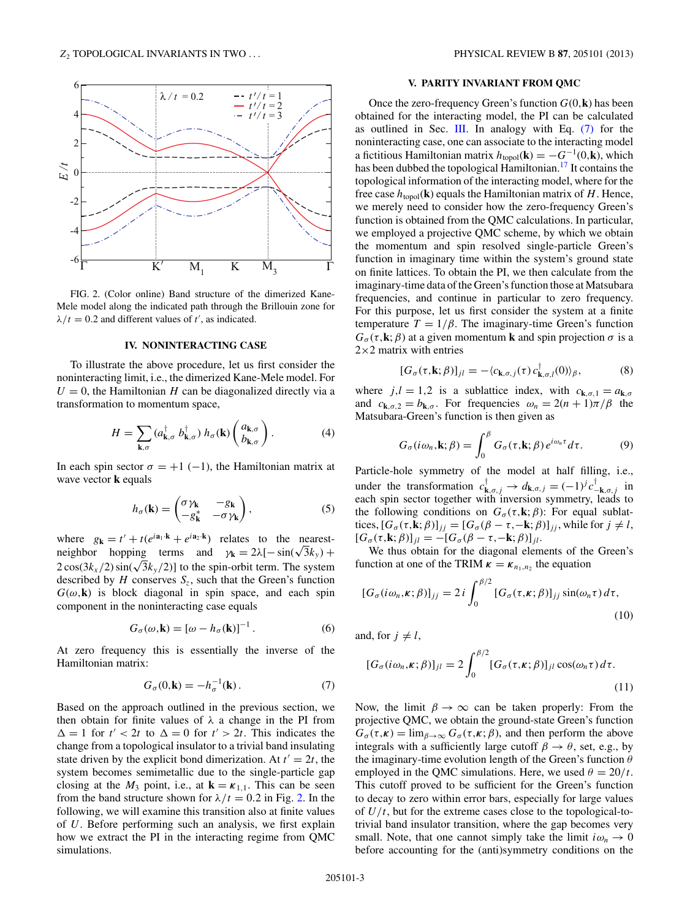<span id="page-2-0"></span>

FIG. 2. (Color online) Band structure of the dimerized Kane-Mele model along the indicated path through the Brillouin zone for  $\lambda/t = 0.2$  and different values of *t'*, as indicated.

#### **IV. NONINTERACTING CASE**

To illustrate the above procedure, let us first consider the noninteracting limit, i.e., the dimerized Kane-Mele model. For  $U = 0$ , the Hamiltonian *H* can be diagonalized directly via a transformation to momentum space,

$$
H = \sum_{\mathbf{k},\sigma} (a_{\mathbf{k},\sigma}^{\dagger} b_{\mathbf{k},\sigma}^{\dagger}) h_{\sigma}(\mathbf{k}) \begin{pmatrix} a_{\mathbf{k},\sigma} \\ b_{\mathbf{k},\sigma} \end{pmatrix}.
$$
 (4)

In each spin sector  $\sigma = +1$  (−1), the Hamiltonian matrix at wave vector **k** equals

$$
h_{\sigma}(\mathbf{k}) = \begin{pmatrix} \sigma \gamma_{\mathbf{k}} & -g_{\mathbf{k}} \\ -g_{\mathbf{k}}^* & -\sigma \gamma_{\mathbf{k}} \end{pmatrix},
$$
 (5)

where  $g_k = t' + t(e^{i\mathbf{a}_1 \cdot \mathbf{k}} + e^{i\mathbf{a}_2 \cdot \mathbf{k}})$  relates to the nearestneighbor hopping terms and  $\gamma_k = 2\lambda[-\sin(\sqrt{3}k_y) +$  $2\cos(3k_x/2)\sin(\sqrt{3}k_y/2)$  to the spin-orbit term. The system described by  $H$  conserves  $S_z$ , such that the Green's function  $G(\omega, \mathbf{k})$  is block diagonal in spin space, and each spin component in the noninteracting case equals

$$
G_{\sigma}(\omega, \mathbf{k}) = [\omega - h_{\sigma}(\mathbf{k})]^{-1}.
$$
 (6)

At zero frequency this is essentially the inverse of the Hamiltonian matrix:

$$
G_{\sigma}(0,\mathbf{k}) = -h_{\sigma}^{-1}(\mathbf{k}).\tag{7}
$$

Based on the approach outlined in the previous section, we then obtain for finite values of *λ* a change in the PI from  $\Delta = 1$  for  $t' < 2t$  to  $\Delta = 0$  for  $t' > 2t$ . This indicates the change from a topological insulator to a trivial band insulating state driven by the explicit bond dimerization. At  $t' = 2t$ , the system becomes semimetallic due to the single-particle gap closing at the  $M_3$  point, i.e., at  $\mathbf{k} = \kappa_{1,1}$ . This can be seen from the band structure shown for  $\lambda/t = 0.2$  in Fig. 2. In the following, we will examine this transition also at finite values of *U*. Before performing such an analysis, we first explain how we extract the PI in the interacting regime from QMC simulations.

### **V. PARITY INVARIANT FROM QMC**

Once the zero-frequency Green's function *G*(0*,***k**) has been obtained for the interacting model, the PI can be calculated as outlined in Sec. [III.](#page-1-0) In analogy with Eq. (7) for the noninteracting case, one can associate to the interacting model a fictitious Hamiltonian matrix  $h_{\text{topol}}(\mathbf{k}) = -G^{-1}(0,\mathbf{k})$ , which has been dubbed the topological Hamiltonian.<sup>[17](#page-5-0)</sup> It contains the topological information of the interacting model, where for the free case  $h_{\text{topol}}(\mathbf{k})$  equals the Hamiltonian matrix of *H*. Hence, we merely need to consider how the zero-frequency Green's function is obtained from the QMC calculations. In particular, we employed a projective QMC scheme, by which we obtain the momentum and spin resolved single-particle Green's function in imaginary time within the system's ground state on finite lattices. To obtain the PI, we then calculate from the imaginary-time data of the Green's function those at Matsubara frequencies, and continue in particular to zero frequency. For this purpose, let us first consider the system at a finite temperature  $T = 1/\beta$ . The imaginary-time Green's function  $G_{\sigma}(\tau, \mathbf{k}; \beta)$  at a given momentum **k** and spin projection  $\sigma$  is a  $2\times2$  matrix with entries

$$
[G_{\sigma}(\tau, \mathbf{k}; \beta)]_{jl} = -\langle c_{\mathbf{k}, \sigma, j}(\tau) c_{\mathbf{k}, \sigma, l}^{\dagger}(0) \rangle_{\beta}, \tag{8}
$$

where  $j, l = 1, 2$  is a sublattice index, with  $c_{\mathbf{k},\sigma,1} = a_{\mathbf{k},\sigma}$ and  $c_{\mathbf{k},\sigma,2} = b_{\mathbf{k},\sigma}$ . For frequencies  $\omega_n = 2(n+1)\pi/\beta$  the Matsubara-Green's function is then given as

$$
G_{\sigma}(i\omega_n, \mathbf{k}; \beta) = \int_0^{\beta} G_{\sigma}(\tau, \mathbf{k}; \beta) e^{i\omega_n \tau} d\tau.
$$
 (9)

Particle-hole symmetry of the model at half filling, i.e., under the transformation  $c^{\dagger}_{\mathbf{k},\sigma,j} \to d_{\mathbf{k},\sigma,j} = (-1)^j c^{\dagger}_{-\mathbf{k},\sigma,j}$  in each spin sector together with inversion symmetry, leads to the following conditions on  $G_{\sigma}(\tau, \mathbf{k}; \beta)$ : For equal sublat- $\text{tices}, [\mathcal{G}_{\sigma}(\tau, \mathbf{k}; \beta)]_{jj} = [\mathcal{G}_{\sigma}(\beta - \tau, -\mathbf{k}; \beta)]_{jj}$ , while for  $j \neq l$ ,  $[G_{\sigma}(\tau, \mathbf{k}; \beta)]_{il} = -[G_{\sigma}(\beta - \tau, -\mathbf{k}; \beta)]_{il}.$ 

We thus obtain for the diagonal elements of the Green's function at one of the TRIM  $\kappa = \kappa_{n_1,n_2}$  the equation

$$
[G_{\sigma}(i\omega_n,\kappa;\beta)]_{jj}=2i\int_0^{\beta/2}[G_{\sigma}(\tau,\kappa;\beta)]_{jj}\sin(\omega_n\tau)d\tau,
$$
\n(10)

and, for  $j \neq l$ ,

$$
[G_{\sigma}(i\omega_n,\kappa;\beta)]_{jl}=2\int_0^{\beta/2}[G_{\sigma}(\tau,\kappa;\beta)]_{jl}\cos(\omega_n\tau)d\tau.
$$
\n(11)

Now, the limit  $\beta \to \infty$  can be taken properly: From the projective QMC, we obtain the ground-state Green's function  $G_{\sigma}(\tau,\kappa) = \lim_{\beta \to \infty} G_{\sigma}(\tau,\kappa;\beta)$ , and then perform the above integrals with a sufficiently large cutoff  $\beta \rightarrow \theta$ , set, e.g., by the imaginary-time evolution length of the Green's function *θ* employed in the QMC simulations. Here, we used  $\theta = 20/t$ . This cutoff proved to be sufficient for the Green's function to decay to zero within error bars, especially for large values of *U/t*, but for the extreme cases close to the topological-totrivial band insulator transition, where the gap becomes very small. Note, that one cannot simply take the limit  $i\omega_n \to 0$ before accounting for the (anti)symmetry conditions on the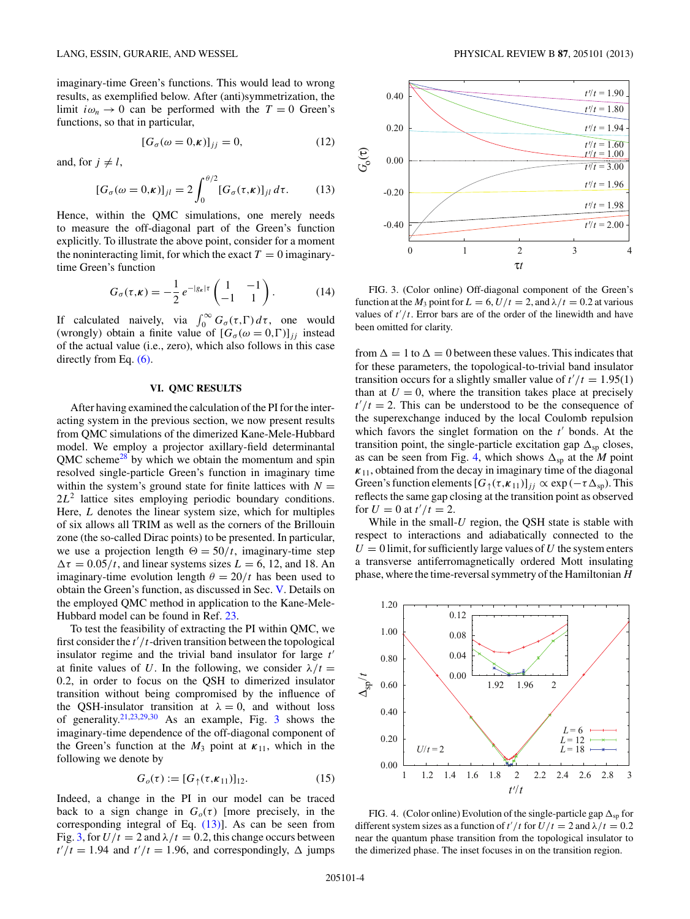imaginary-time Green's functions. This would lead to wrong results, as exemplified below. After (anti)symmetrization, the limit  $i\omega_n \to 0$  can be performed with the  $T = 0$  Green's functions, so that in particular,

$$
[G_{\sigma}(\omega = 0, \kappa)]_{jj} = 0,\tag{12}
$$

and, for  $j \neq l$ ,

$$
[G_{\sigma}(\omega=0,\kappa)]_{jl}=2\int_0^{\theta/2}[G_{\sigma}(\tau,\kappa)]_{jl}d\tau.
$$
 (13)

Hence, within the QMC simulations, one merely needs to measure the off-diagonal part of the Green's function explicitly. To illustrate the above point, consider for a moment the noninteracting limit, for which the exact  $T = 0$  imaginarytime Green's function

$$
G_{\sigma}(\tau,\kappa) = -\frac{1}{2} e^{-|g_{\kappa}|\tau} \begin{pmatrix} 1 & -1 \\ -1 & 1 \end{pmatrix}.
$$
 (14)

If calculated naively, via  $\int_0^\infty G_\sigma(\tau, \Gamma) d\tau$ , one would (wrongly) obtain a finite value of  $[G_{\sigma}(\omega = 0, \Gamma)]_{ij}$  instead of the actual value (i.e., zero), which also follows in this case directly from Eq.  $(6)$ .

## **VI. QMC RESULTS**

After having examined the calculation of the PI for the interacting system in the previous section, we now present results from QMC simulations of the dimerized Kane-Mele-Hubbard model. We employ a projector axillary-field determinantal  $QMC$  scheme<sup>28</sup> by which we obtain the momentum and spin resolved single-particle Green's function in imaginary time within the system's ground state for finite lattices with  $N =$ 2*L*<sup>2</sup> lattice sites employing periodic boundary conditions. Here, *L* denotes the linear system size, which for multiples of six allows all TRIM as well as the corners of the Brillouin zone (the so-called Dirac points) to be presented. In particular, we use a projection length  $\Theta = 50/t$ , imaginary-time step  $\Delta \tau = 0.05/t$ , and linear systems sizes  $L = 6$ , 12, and 18. An imaginary-time evolution length  $\theta = 20/t$  has been used to obtain the Green's function, as discussed in Sec. [V.](#page-2-0) Details on the employed QMC method in application to the Kane-Mele-Hubbard model can be found in Ref. [23.](#page-5-0)

To test the feasibility of extracting the PI within QMC, we first consider the  $t'/t$ -driven transition between the topological insulator regime and the trivial band insulator for large  $t'$ at finite values of *U*. In the following, we consider  $\lambda/t =$ 0*.*2, in order to focus on the QSH to dimerized insulator transition without being compromised by the influence of the QSH-insulator transition at  $\lambda = 0$ , and without loss of generality.<sup>21,23,29,30</sup> As an example, Fig. 3 shows the imaginary-time dependence of the off-diagonal component of the Green's function at the  $M_3$  point at  $\kappa_{11}$ , which in the following we denote by

$$
G_o(\tau) := [G_{\uparrow}(\tau, \kappa_{11})]_{12}.
$$
 (15)

Indeed, a change in the PI in our model can be traced back to a sign change in  $G<sub>o</sub>(\tau)$  [more precisely, in the corresponding integral of Eq. (13)]. As can be seen from Fig. 3, for  $U/t = 2$  and  $\lambda/t = 0.2$ , this change occurs between  $t'/t = 1.94$  and  $t'/t = 1.96$ , and correspondingly,  $\Delta$  jumps



FIG. 3. (Color online) Off-diagonal component of the Green's function at the  $M_3$  point for  $L = 6$ ,  $U/t = 2$ , and  $\lambda/t = 0.2$  at various values of  $t'/t$ . Error bars are of the order of the linewidth and have been omitted for clarity.

from  $\Delta = 1$  to  $\Delta = 0$  between these values. This indicates that for these parameters, the topological-to-trivial band insulator transition occurs for a slightly smaller value of  $t'/t = 1.95(1)$ than at  $U = 0$ , where the transition takes place at precisely  $t'/t = 2$ . This can be understood to be the consequence of the superexchange induced by the local Coulomb repulsion which favors the singlet formation on the  $t'$  bonds. At the transition point, the single-particle excitation gap  $\Delta_{sp}$  closes, as can be seen from Fig. 4, which shows  $\Delta_{\text{sp}}$  at the *M* point  $\kappa_{11}$ , obtained from the decay in imaginary time of the diagonal Green's function elements  $[G_{\uparrow}(\tau,\kappa_{11})]_{jj} \propto \exp(-\tau \Delta_{\text{sp}})$ . This reflects the same gap closing at the transition point as observed for  $U = 0$  at  $t'/t = 2$ .

While in the small-*U* region, the QSH state is stable with respect to interactions and adiabatically connected to the  $U = 0$  limit, for sufficiently large values of *U* the system enters a transverse antiferromagnetically ordered Mott insulating phase, where the time-reversal symmetry of the Hamiltonian*H*



FIG. 4. (Color online) Evolution of the single-particle gap  $\Delta_{sp}$  for different system sizes as a function of  $t'/t$  for  $U/t = 2$  and  $\lambda/t = 0.2$ near the quantum phase transition from the topological insulator to the dimerized phase. The inset focuses in on the transition region.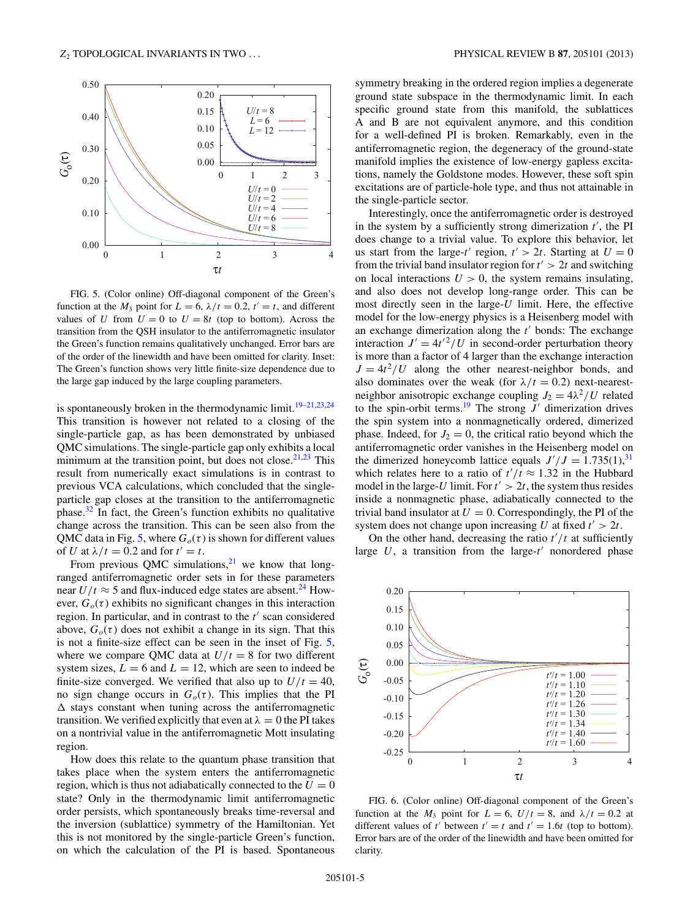<span id="page-4-0"></span>

FIG. 5. (Color online) Off-diagonal component of the Green's function at the  $M_3$  point for  $L = 6$ ,  $\lambda/t = 0.2$ ,  $t' = t$ , and different values of *U* from  $U = 0$  to  $U = 8t$  (top to bottom). Across the transition from the QSH insulator to the antiferromagnetic insulator the Green's function remains qualitatively unchanged. Error bars are of the order of the linewidth and have been omitted for clarity. Inset: The Green's function shows very little finite-size dependence due to the large gap induced by the large coupling parameters.

is spontaneously broken in the thermodynamic limit.<sup>19–21,23,24</sup> This transition is however not related to a closing of the single-particle gap, as has been demonstrated by unbiased QMC simulations. The single-particle gap only exhibits a local minimum at the transition point, but does not close. $2^{1,23}$  This result from numerically exact simulations is in contrast to previous VCA calculations, which concluded that the singleparticle gap closes at the transition to the antiferromagnetic phase. $32$  In fact, the Green's function exhibits no qualitative change across the transition. This can be seen also from the QMC data in Fig. 5, where  $G<sub>o</sub>(\tau)$  is shown for different values of *U* at  $\lambda/t = 0.2$  and for  $t' = t$ .

From previous QMC simulations, $21$  we know that longranged antiferromagnetic order sets in for these parameters near  $U/t \approx 5$  and flux-induced edge states are absent.<sup>24</sup> However,  $G<sub>o</sub>(\tau)$  exhibits no significant changes in this interaction region. In particular, and in contrast to the *t'* scan considered above,  $G<sub>o</sub>(\tau)$  does not exhibit a change in its sign. That this is not a finite-size effect can be seen in the inset of Fig. 5, where we compare OMC data at  $U/t = 8$  for two different system sizes,  $L = 6$  and  $L = 12$ , which are seen to indeed be finite-size converged. We verified that also up to  $U/t = 40$ , no sign change occurs in  $G<sub>o</sub>(\tau)$ . This implies that the PI  stays constant when tuning across the antiferromagnetic transition. We verified explicitly that even at  $\lambda = 0$  the PI takes on a nontrivial value in the antiferromagnetic Mott insulating region.

How does this relate to the quantum phase transition that takes place when the system enters the antiferromagnetic region, which is thus not adiabatically connected to the  $U = 0$ state? Only in the thermodynamic limit antiferromagnetic order persists, which spontaneously breaks time-reversal and the inversion (sublattice) symmetry of the Hamiltonian. Yet this is not monitored by the single-particle Green's function, on which the calculation of the PI is based. Spontaneous symmetry breaking in the ordered region implies a degenerate ground state subspace in the thermodynamic limit. In each specific ground state from this manifold, the sublattices A and B are not equivalent anymore, and this condition for a well-defined PI is broken. Remarkably, even in the antiferromagnetic region, the degeneracy of the ground-state manifold implies the existence of low-energy gapless excitations, namely the Goldstone modes. However, these soft spin excitations are of particle-hole type, and thus not attainable in the single-particle sector.

Interestingly, once the antiferromagnetic order is destroyed in the system by a sufficiently strong dimerization  $t'$ , the PI does change to a trivial value. To explore this behavior, let us start from the large-*t'* region,  $t' > 2t$ . Starting at  $U = 0$ from the trivial band insulator region for  $t' > 2t$  and switching on local interactions  $U > 0$ , the system remains insulating, and also does not develop long-range order. This can be most directly seen in the large-*U* limit. Here, the effective model for the low-energy physics is a Heisenberg model with an exchange dimerization along the  $t'$  bonds: The exchange interaction  $J' = 4t'^2/U$  in second-order perturbation theory is more than a factor of 4 larger than the exchange interaction  $J = 4t^2/U$  along the other nearest-neighbor bonds, and also dominates over the weak (for  $\lambda/t = 0.2$ ) next-nearestneighbor anisotropic exchange coupling  $J_2 = 4\lambda^2/U$  related to the spin-orbit terms.<sup>19</sup> The strong  $J'$  dimerization drives the spin system into a nonmagnetically ordered, dimerized phase. Indeed, for  $J_2 = 0$ , the critical ratio beyond which the antiferromagnetic order vanishes in the Heisenberg model on the dimerized honeycomb lattice equals  $J'/J = 1.735(1),^{31}$  $J'/J = 1.735(1),^{31}$  $J'/J = 1.735(1),^{31}$ which relates here to a ratio of  $t'/t \approx 1.32$  in the Hubbard model in the large-*U* limit. For  $t' > 2t$ , the system thus resides inside a nonmagnetic phase, adiabatically connected to the trivial band insulator at  $U = 0$ . Correspondingly, the PI of the system does not change upon increasing *U* at fixed  $t' > 2t$ .

On the other hand, decreasing the ratio  $t'/t$  at sufficiently large  $U$ , a transition from the large- $t'$  nonordered phase



FIG. 6. (Color online) Off-diagonal component of the Green's function at the  $M_3$  point for  $L = 6$ ,  $U/t = 8$ , and  $\lambda/t = 0.2$  at different values of *t'* between  $t' = t$  and  $t' = 1.6t$  (top to bottom). Error bars are of the order of the linewidth and have been omitted for clarity.